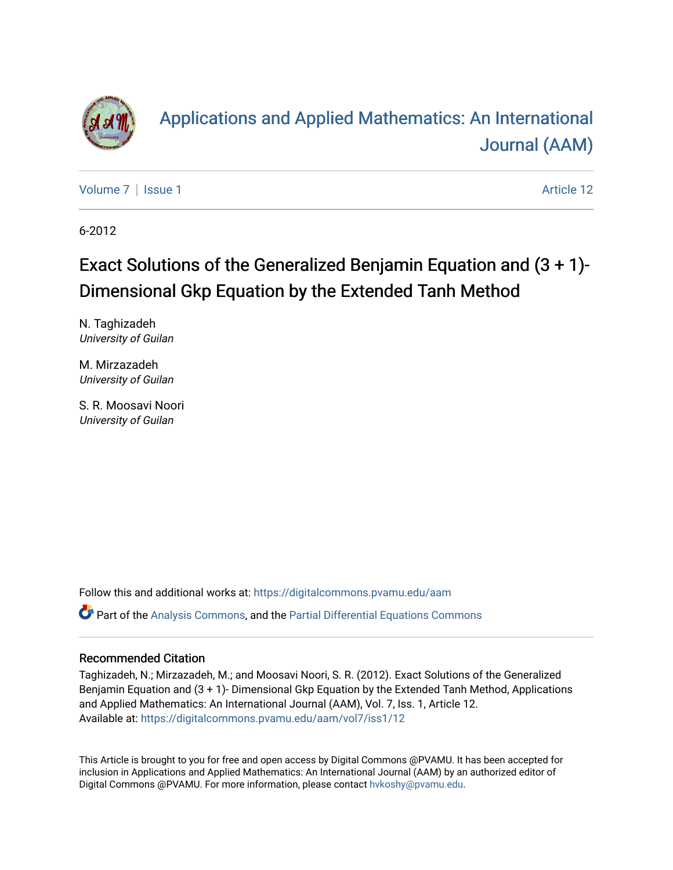

# [Applications and Applied Mathematics: An International](https://digitalcommons.pvamu.edu/aam)  [Journal \(AAM\)](https://digitalcommons.pvamu.edu/aam)

[Volume 7](https://digitalcommons.pvamu.edu/aam/vol7) | [Issue 1](https://digitalcommons.pvamu.edu/aam/vol7/iss1) Article 12

6-2012

# Exact Solutions of the Generalized Benjamin Equation and (3 + 1)- Dimensional Gkp Equation by the Extended Tanh Method

N. Taghizadeh University of Guilan

M. Mirzazadeh University of Guilan

S. R. Moosavi Noori University of Guilan

Follow this and additional works at: [https://digitalcommons.pvamu.edu/aam](https://digitalcommons.pvamu.edu/aam?utm_source=digitalcommons.pvamu.edu%2Faam%2Fvol7%2Fiss1%2F12&utm_medium=PDF&utm_campaign=PDFCoverPages)  Part of the [Analysis Commons](http://network.bepress.com/hgg/discipline/177?utm_source=digitalcommons.pvamu.edu%2Faam%2Fvol7%2Fiss1%2F12&utm_medium=PDF&utm_campaign=PDFCoverPages), and the [Partial Differential Equations Commons](http://network.bepress.com/hgg/discipline/120?utm_source=digitalcommons.pvamu.edu%2Faam%2Fvol7%2Fiss1%2F12&utm_medium=PDF&utm_campaign=PDFCoverPages) 

#### Recommended Citation

Taghizadeh, N.; Mirzazadeh, M.; and Moosavi Noori, S. R. (2012). Exact Solutions of the Generalized Benjamin Equation and (3 + 1)- Dimensional Gkp Equation by the Extended Tanh Method, Applications and Applied Mathematics: An International Journal (AAM), Vol. 7, Iss. 1, Article 12. Available at: [https://digitalcommons.pvamu.edu/aam/vol7/iss1/12](https://digitalcommons.pvamu.edu/aam/vol7/iss1/12?utm_source=digitalcommons.pvamu.edu%2Faam%2Fvol7%2Fiss1%2F12&utm_medium=PDF&utm_campaign=PDFCoverPages) 

This Article is brought to you for free and open access by Digital Commons @PVAMU. It has been accepted for inclusion in Applications and Applied Mathematics: An International Journal (AAM) by an authorized editor of Digital Commons @PVAMU. For more information, please contact [hvkoshy@pvamu.edu.](mailto:hvkoshy@pvamu.edu)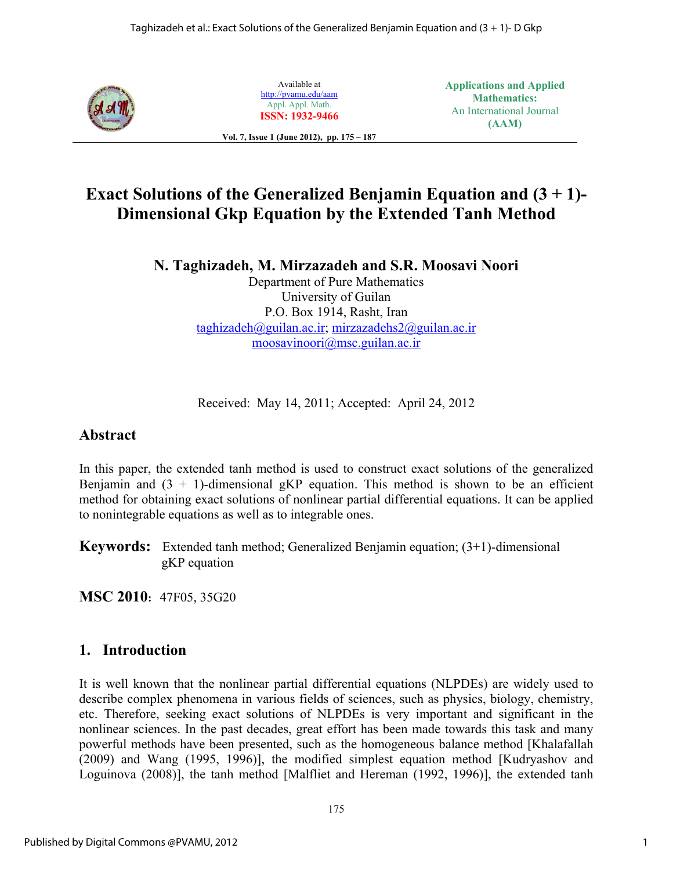

Available at http://pvamu.edu/aam Appl. Appl. Math. **ISSN: 1932-9466** **Applications and Applied Mathematics:**  An International Journal **(AAM)** 

**Vol. 7, Issue 1 (June 2012), pp. 175 – 187** 

## **Exact Solutions of the Generalized Benjamin Equation and (3 + 1)- Dimensional Gkp Equation by the Extended Tanh Method**

**N. Taghizadeh, M. Mirzazadeh and S.R. Moosavi Noori** 

Department of Pure Mathematics University of Guilan P.O. Box 1914, Rasht, Iran taghizadeh@guilan.ac.ir; mirzazadehs2@guilan.ac.ir moosavinoori@msc.guilan.ac.ir

Received: May 14, 2011; Accepted: April 24, 2012

#### **Abstract**

In this paper, the extended tanh method is used to construct exact solutions of the generalized Benjamin and  $(3 + 1)$ -dimensional gKP equation. This method is shown to be an efficient method for obtaining exact solutions of nonlinear partial differential equations. It can be applied to nonintegrable equations as well as to integrable ones.

**Keywords:** Extended tanh method; Generalized Benjamin equation; (3+1)-dimensional gKP equation

**MSC 2010:** 47F05, 35G20

#### **1. Introduction**

It is well known that the nonlinear partial differential equations (NLPDEs) are widely used to describe complex phenomena in various fields of sciences, such as physics, biology, chemistry, etc. Therefore, seeking exact solutions of NLPDEs is very important and significant in the nonlinear sciences. In the past decades, great effort has been made towards this task and many powerful methods have been presented, such as the homogeneous balance method [Khalafallah (2009) and Wang (1995, 1996)], the modified simplest equation method [Kudryashov and Loguinova (2008)], the tanh method [Malfliet and Hereman (1992, 1996)], the extended tanh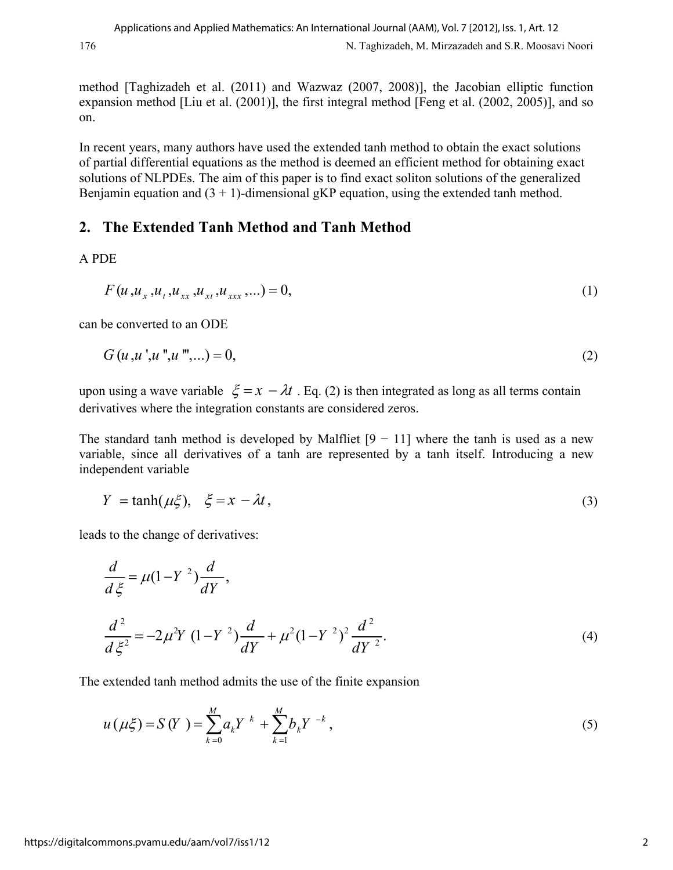method [Taghizadeh et al. (2011) and Wazwaz (2007, 2008)], the Jacobian elliptic function expansion method [Liu et al. (2001)], the first integral method [Feng et al. (2002, 2005)], and so on.

In recent years, many authors have used the extended tanh method to obtain the exact solutions of partial differential equations as the method is deemed an efficient method for obtaining exact solutions of NLPDEs. The aim of this paper is to find exact soliton solutions of the generalized Benjamin equation and  $(3 + 1)$ -dimensional gKP equation, using the extended tanh method.

### **2. The Extended Tanh Method and Tanh Method**

A PDE

$$
F(u, u_x, u_t, u_{xx}, u_{xt}, u_{xxx}, \ldots) = 0,
$$
\n(1)

can be converted to an ODE

$$
G(u, u', u'', u''',...) = 0,
$$
\n(2)

upon using a wave variable  $\zeta = x - \lambda t$ . Eq. (2) is then integrated as long as all terms contain derivatives where the integration constants are considered zeros.

The standard tanh method is developed by Malfliet  $[9 - 11]$  where the tanh is used as a new variable, since all derivatives of a tanh are represented by a tanh itself. Introducing a new independent variable

$$
Y = \tanh(\mu\xi), \quad \xi = x - \lambda t,
$$
\n(3)

leads to the change of derivatives:

$$
\frac{d}{d\xi} = \mu(1 - Y^2) \frac{d}{dY},
$$
\n
$$
\frac{d^2}{d\xi^2} = -2\mu^2 Y (1 - Y^2) \frac{d}{dY} + \mu^2 (1 - Y^2)^2 \frac{d^2}{dY^2}.
$$
\n(4)

The extended tanh method admits the use of the finite expansion

$$
u(\mu\xi) = S(Y) = \sum_{k=0}^{M} a_k Y^{k} + \sum_{k=1}^{M} b_k Y^{-k},
$$
\n(5)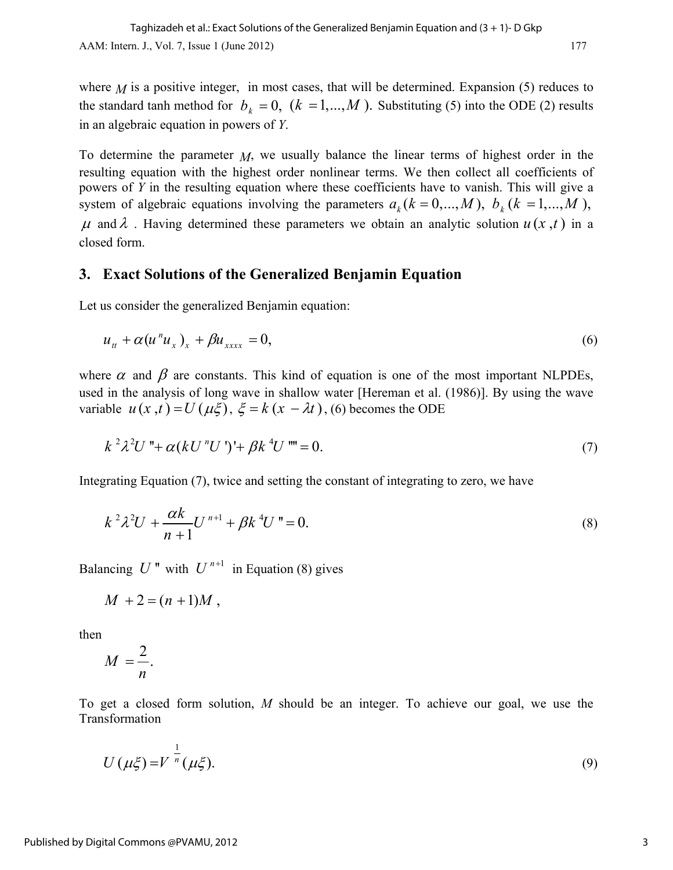where  $M$  is a positive integer, in most cases, that will be determined. Expansion (5) reduces to the standard tanh method for  $b_k = 0$ ,  $(k = 1,..., M)$ . Substituting (5) into the ODE (2) results in an algebraic equation in powers of *Y*.

To determine the parameter *M*, we usually balance the linear terms of highest order in the resulting equation with the highest order nonlinear terms. We then collect all coefficients of powers of *Y* in the resulting equation where these coefficients have to vanish. This will give a system of algebraic equations involving the parameters  $a_k (k = 0, ..., M)$ ,  $b_k (k = 1, ..., M)$ ,  $\mu$  and  $\lambda$ . Having determined these parameters we obtain an analytic solution  $u(x,t)$  in a closed form.

#### **3. Exact Solutions of the Generalized Benjamin Equation**

Let us consider the generalized Benjamin equation:

$$
u_{tt} + \alpha (u^{n} u_{x})_{x} + \beta u_{xxxx} = 0, \qquad (6)
$$

where  $\alpha$  and  $\beta$  are constants. This kind of equation is one of the most important NLPDEs, used in the analysis of long wave in shallow water [Hereman et al. (1986)]. By using the wave variable  $u(x,t) = U(\mu \xi)$ ,  $\xi = k(x - \lambda t)$ , (6) becomes the ODE

$$
k^{2} \lambda^{2} U \text{''} + \alpha (k U \text{''} U') + \beta k \text{''} U \text{''} = 0. \tag{7}
$$

Integrating Equation (7), twice and setting the constant of integrating to zero, we have

$$
k^{2} \lambda^{2} U + \frac{\alpha k}{n+1} U^{n+1} + \beta k^{4} U^{n} = 0.
$$
 (8)

Balancing  $U''$  with  $U^{n+1}$  in Equation (8) gives

$$
M+2=(n+1)M,
$$

then

$$
M=\frac{2}{n}.
$$

To get a closed form solution, *M* should be an integer. To achieve our goal, we use the Transformation

$$
U(\mu\xi) = V^{\frac{1}{n}}(\mu\xi). \tag{9}
$$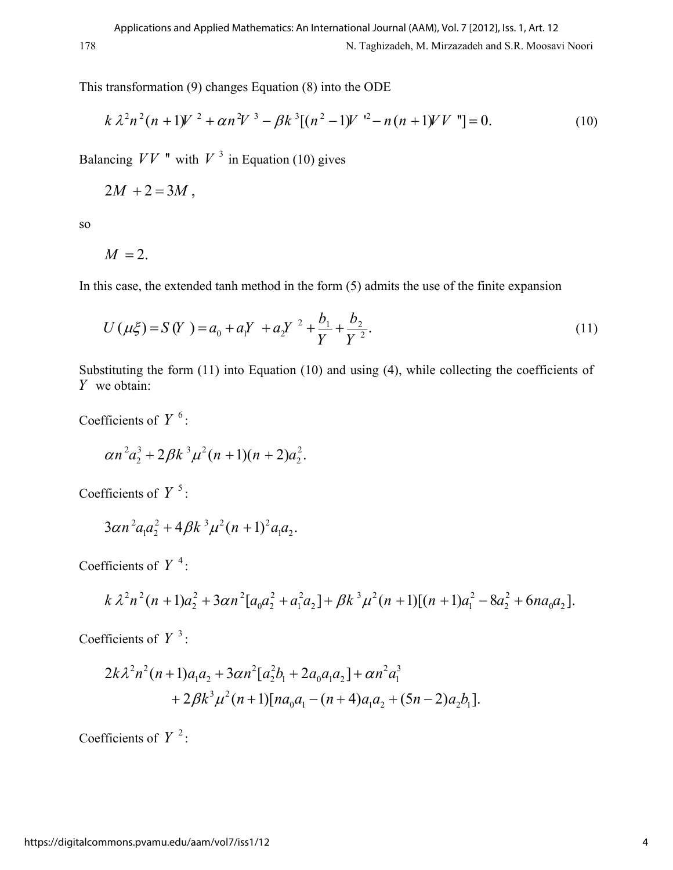This transformation (9) changes Equation (8) into the ODE

$$
k \lambda^2 n^2 (n+1) V^2 + \alpha n^2 V^3 - \beta k^3 [(n^2-1) V^2 - n(n+1) V V^*] = 0.
$$
 (10)

Balancing  $VV$  " with  $V^3$  in Equation (10) gives

$$
2M + 2 = 3M,
$$

so

$$
M=2.
$$

In this case, the extended tanh method in the form (5) admits the use of the finite expansion

$$
U(\mu\xi) = S(Y) = a_0 + a_1 Y + a_2 Y^2 + \frac{b_1}{Y} + \frac{b_2}{Y^2}.
$$
\n(11)

Substituting the form (11) into Equation (10) and using (4), while collecting the coefficients of *Y* we obtain:

Coefficients of  $Y^6$ :

$$
\alpha n^2 a_2^3 + 2\beta k^3 \mu^2 (n+1)(n+2)a_2^2.
$$

Coefficients of  $Y^5$ :

$$
3\alpha n^2 a_1 a_2^2 + 4\beta k^3 \mu^2 (n+1)^2 a_1 a_2.
$$

Coefficients of  $Y^4$ :

$$
k\lambda^{2}n^{2}(n+1)a_{2}^{2}+3\alpha n^{2}[a_{0}a_{2}^{2}+a_{1}^{2}a_{2}]+\beta k^{3}\mu^{2}(n+1)[(n+1)a_{1}^{2}-8a_{2}^{2}+6na_{0}a_{2}].
$$

Coefficients of  $Y^3$ :

$$
2k\lambda^{2}n^{2}(n+1)a_{1}a_{2} + 3\alpha n^{2}[a_{2}^{2}b_{1} + 2a_{0}a_{1}a_{2}] + \alpha n^{2}a_{1}^{3} + 2\beta k^{3}\mu^{2}(n+1)[na_{0}a_{1} - (n+4)a_{1}a_{2} + (5n-2)a_{2}b_{1}].
$$

Coefficients of  $Y^2$ :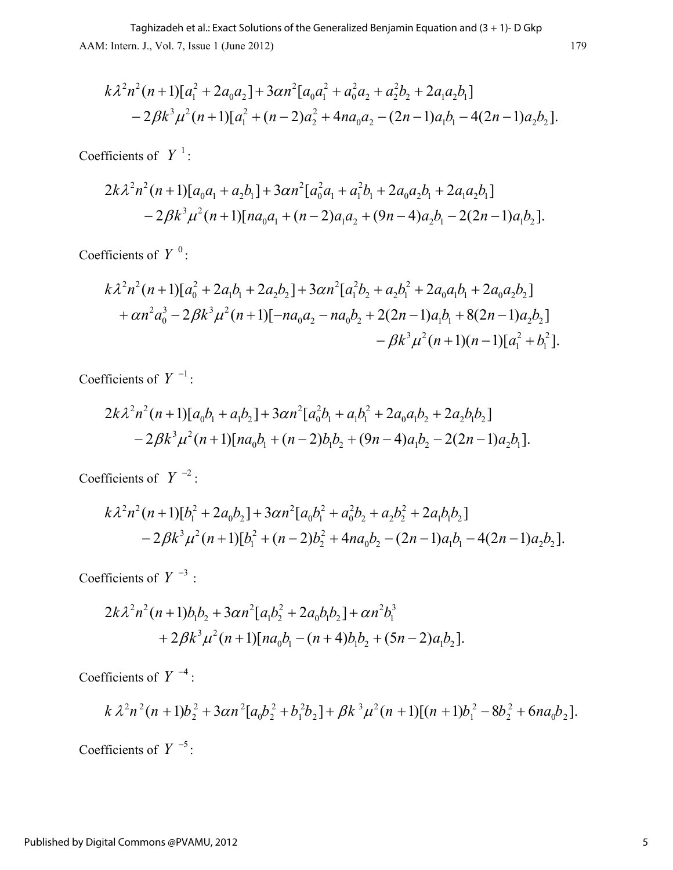AAM: Intern. J., Vol. 7, Issue 1 (June 2012) 179 Taghizadeh et al.: Exact Solutions of the Generalized Benjamin Equation and (3 + 1)- D Gkp

$$
k\lambda^{2}n^{2}(n+1)[a_{1}^{2}+2a_{0}a_{2}]+3\alpha n^{2}[a_{0}a_{1}^{2}+a_{0}^{2}a_{2}+a_{2}^{2}b_{2}+2a_{1}a_{2}b_{1}]
$$
  
-2\beta k^{3}\mu^{2}(n+1)[a\_{1}^{2}+(n-2)a\_{2}^{2}+4na\_{0}a\_{2}-(2n-1)a\_{1}b\_{1}-4(2n-1)a\_{2}b\_{2}].

Coefficients of  $Y^1$ :

$$
2k\lambda^{2}n^{2}(n+1)[a_{0}a_{1}+a_{2}b_{1}]+3\alpha n^{2}[a_{0}^{2}a_{1}+a_{1}^{2}b_{1}+2a_{0}a_{2}b_{1}+2a_{1}a_{2}b_{1}]
$$
  

$$
-2\beta k^{3}\mu^{2}(n+1)[na_{0}a_{1}+(n-2)a_{1}a_{2}+(9n-4)a_{2}b_{1}-2(2n-1)a_{1}b_{2}].
$$

Coefficients of  $Y^0$ :

$$
k\lambda^{2}n^{2}(n+1)[a_{0}^{2}+2a_{1}b_{1}+2a_{2}b_{2}]+3\alpha n^{2}[a_{1}^{2}b_{2}+a_{2}b_{1}^{2}+2a_{0}a_{1}b_{1}+2a_{0}a_{2}b_{2}]
$$
  
+ $\alpha n^{2}a_{0}^{3}-2\beta k^{3}\mu^{2}(n+1)[-na_{0}a_{2}-na_{0}b_{2}+2(2n-1)a_{1}b_{1}+8(2n-1)a_{2}b_{2}]$   
- $\beta k^{3}\mu^{2}(n+1)(n-1)[a_{1}^{2}+b_{1}^{2}].$ 

Coefficients of  $Y^{-1}$ :

$$
2k\lambda^{2}n^{2}(n+1)[a_{0}b_{1}+a_{1}b_{2}]+3\alpha n^{2}[a_{0}^{2}b_{1}+a_{1}b_{1}^{2}+2a_{0}a_{1}b_{2}+2a_{2}b_{1}b_{2}]
$$
  
-2 $\beta k^{3}\mu^{2}(n+1)[na_{0}b_{1}+(n-2)b_{1}b_{2}+(9n-4)a_{1}b_{2}-2(2n-1)a_{2}b_{1}].$ 

Coefficients of  $Y^{-2}$ :

$$
k\lambda^{2}n^{2}(n+1)[b_{1}^{2}+2a_{0}b_{2}]+3\alpha n^{2}[a_{0}b_{1}^{2}+a_{0}^{2}b_{2}+a_{2}b_{2}^{2}+2a_{1}b_{1}b_{2}]
$$
  
-2\beta k^{3}\mu^{2}(n+1)[b\_{1}^{2}+(n-2)b\_{2}^{2}+4na\_{0}b\_{2}-(2n-1)a\_{1}b\_{1}-4(2n-1)a\_{2}b\_{2}].

Coefficients of  $Y^{-3}$  :

$$
2k\lambda^{2}n^{2}(n+1)b_{1}b_{2} + 3\alpha n^{2}[a_{1}b_{2}^{2} + 2a_{0}b_{1}b_{2}] + \alpha n^{2}b_{1}^{3} + 2\beta k^{3}\mu^{2}(n+1)[na_{0}b_{1} - (n+4)b_{1}b_{2} + (5n-2)a_{1}b_{2}].
$$

Coefficients of  $Y^{-4}$  :

$$
k\lambda^2n^2(n+1)b_2^2+3\alpha n^2[a_0b_2^2+b_1^2b_2]+\beta k^3\mu^2(n+1)[(n+1)b_1^2-8b_2^2+6na_0b_2].
$$

Coefficients of  $Y^{-5}$ :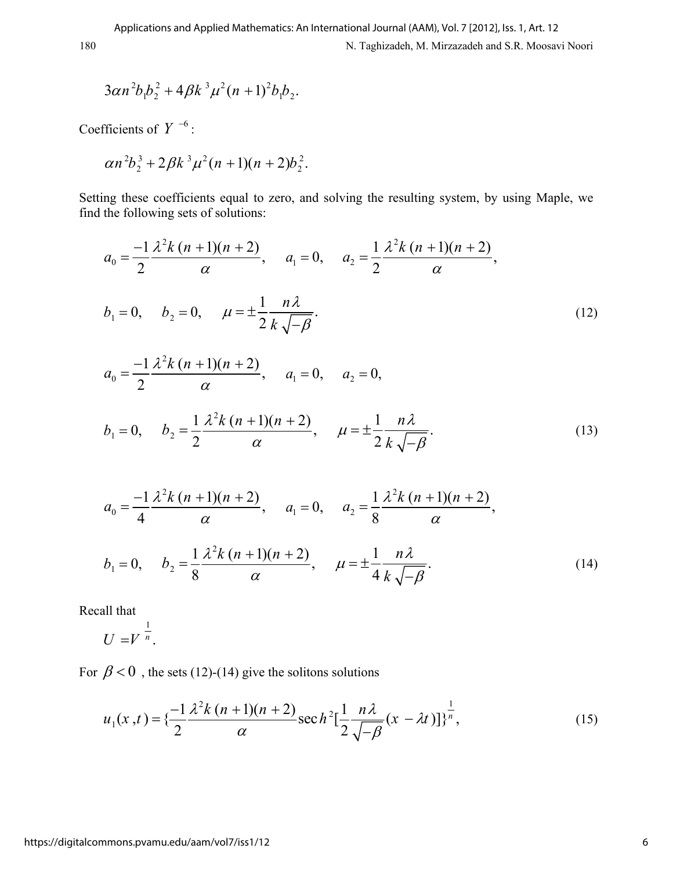$$
3\alpha n^2 b_1 b_2^2 + 4\beta k^3 \mu^2 (n+1)^2 b_1 b_2.
$$

Coefficients of  $Y^{-6}$ :

$$
\alpha n^2 b_2^3 + 2\beta k^3 \mu^2 (n+1)(n+2)b_2^2.
$$

Setting these coefficients equal to zero, and solving the resulting system, by using Maple, we find the following sets of solutions:

$$
a_0 = \frac{-1}{2} \frac{\lambda^2 k (n+1)(n+2)}{\alpha}, \quad a_1 = 0, \quad a_2 = \frac{1}{2} \frac{\lambda^2 k (n+1)(n+2)}{\alpha},
$$
  
\n
$$
b_1 = 0, \quad b_2 = 0, \quad \mu = \pm \frac{1}{2} \frac{n \lambda}{k \sqrt{-\beta}}.
$$
  
\n
$$
a_0 = \frac{-1}{2} \frac{\lambda^2 k (n+1)(n+2)}{\alpha}, \quad a_1 = 0, \quad a_2 = 0,
$$
  
\n
$$
b_1 = 0, \quad b_2 = \frac{1}{2} \frac{\lambda^2 k (n+1)(n+2)}{\alpha}, \quad \mu = \pm \frac{1}{2} \frac{n \lambda}{k \sqrt{-\beta}}.
$$
  
\n(13)

$$
a_0 = \frac{-1}{4} \frac{\lambda^2 k (n+1)(n+2)}{\alpha}, \quad a_1 = 0, \quad a_2 = \frac{1}{8} \frac{\lambda^2 k (n+1)(n+2)}{\alpha},
$$
  

$$
b_1 = 0, \quad b_2 = \frac{1}{8} \frac{\lambda^2 k (n+1)(n+2)}{\alpha}, \quad \mu = \pm \frac{1}{4} \frac{n \lambda}{k \sqrt{-\beta}}.
$$
 (14)

Recall that

1  $U = V^n$ .

For  $\beta$  < 0, the sets (12)-(14) give the solitons solutions

$$
u_1(x,t) = \left\{ \frac{-1}{2} \frac{\lambda^2 k (n+1)(n+2)}{\alpha} \sec h^2 \left[ \frac{1}{2} \frac{n \lambda}{\sqrt{-\beta}} (x - \lambda t) \right] \right\}^{\frac{1}{n}},\tag{15}
$$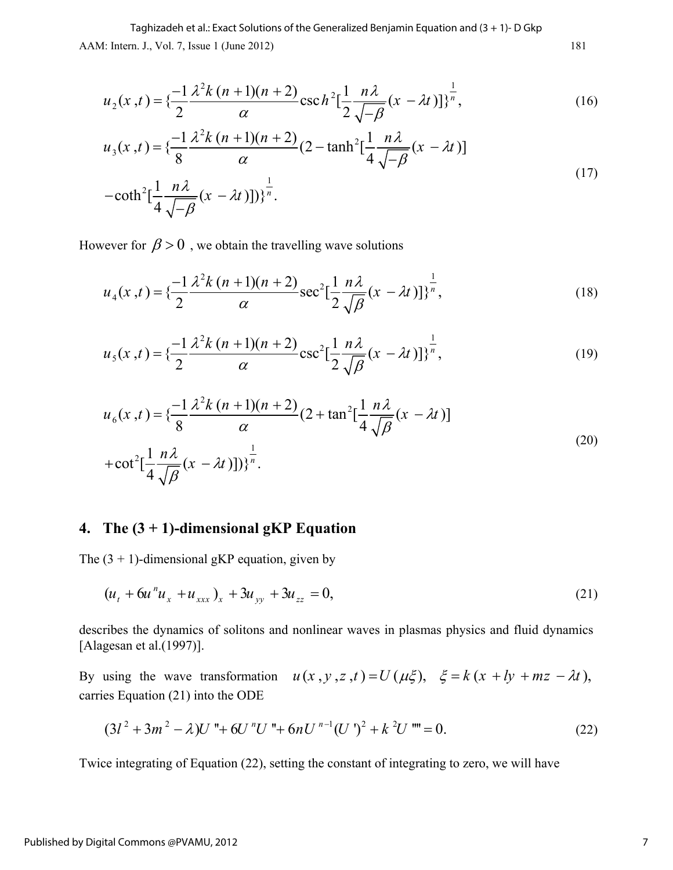AAM: Intern. J., Vol. 7, Issue 1 (June 2012) 181 Taghizadeh et al.: Exact Solutions of the Generalized Benjamin Equation and (3 + 1)- D Gkp

$$
u_2(x,t) = \left\{ \frac{-1}{2} \frac{\lambda^2 k (n+1)(n+2)}{\alpha} \csc h^2 \left[ \frac{1}{2} \frac{n \lambda}{\sqrt{-\beta}} (x - \lambda t) \right] \right\}^{\frac{1}{n}},\tag{16}
$$

$$
u_3(x,t) = \left\{ \frac{-1}{8} \frac{\lambda^2 k (n+1)(n+2)}{\alpha} (2 - \tanh^2[\frac{1}{4} \frac{n\lambda}{\sqrt{-\beta}} (x - \lambda t)] - \coth^2[\frac{1}{4} \frac{n\lambda}{\sqrt{-\beta}} (x - \lambda t)]) \right\}^{\frac{1}{n}}.
$$
\n(17)

However for  $\beta > 0$ , we obtain the travelling wave solutions

$$
u_4(x,t) = \left\{ \frac{-1}{2} \frac{\lambda^2 k (n+1)(n+2)}{\alpha} \sec^2 \left[ \frac{1}{2} \frac{n \lambda}{\sqrt{\beta}} (x - \lambda t) \right] \right\}^{\frac{1}{n}},\tag{18}
$$

$$
u_{5}(x,t) = \left\{ \frac{-1}{2} \frac{\lambda^{2} k (n+1)(n+2)}{\alpha} \csc^{2}[\frac{1}{2} \frac{n \lambda}{\sqrt{\beta}} (x - \lambda t)] \right\}^{\frac{1}{n}},
$$
\n(19)

$$
u_6(x,t) = \left\{ \frac{-1}{8} \frac{\lambda^2 k (n+1)(n+2)}{\alpha} (2 + \tan^2 \left[ \frac{1}{4} \frac{n \lambda}{\sqrt{\beta}} (x - \lambda t) \right] \right\}
$$
  
+ 
$$
\cot^2 \left[ \frac{1}{4} \frac{n \lambda}{\sqrt{\beta}} (x - \lambda t) \right] \right\}^{\frac{1}{n}}.
$$
 (20)

### **4. The (3 + 1)-dimensional gKP Equation**

The  $(3 + 1)$ -dimensional gKP equation, given by

$$
(u_t + 6u^{\prime \prime} u_x + u_{xxx})_x + 3u_{yy} + 3u_{zz} = 0, \tag{21}
$$

describes the dynamics of solitons and nonlinear waves in plasmas physics and fluid dynamics [Alagesan et al.(1997)].

By using the wave transformation  $u(x, y, z, t) = U(\mu \xi)$ ,  $\xi = k(x + ly + mz - \lambda t)$ , carries Equation (21) into the ODE

$$
(3l2 + 3m2 - \lambda)U'' + 6U''U'' + 6nU''-1(U')2 + k2U''' = 0.
$$
 (22)

Twice integrating of Equation (22), setting the constant of integrating to zero, we will have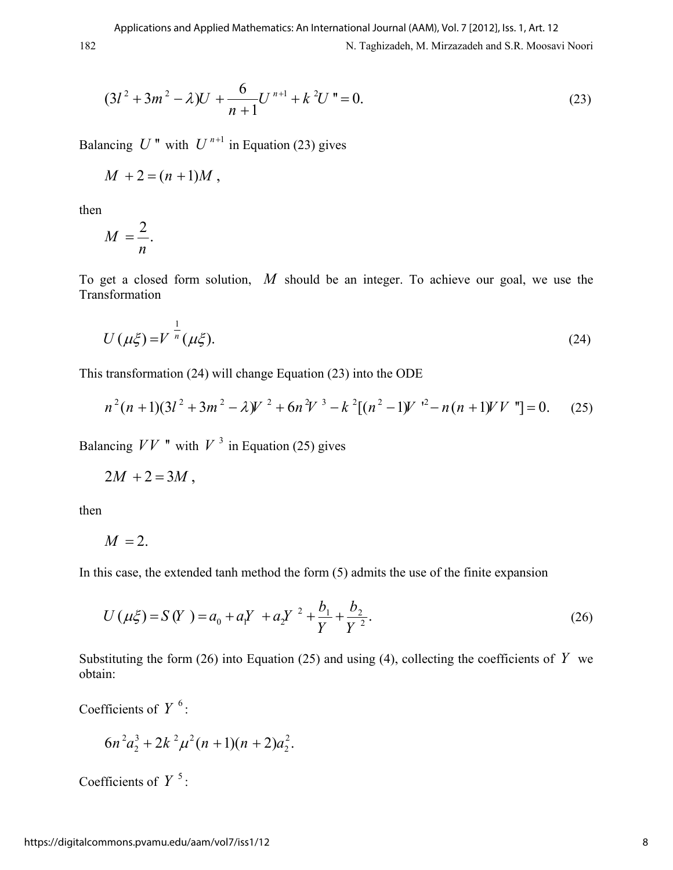$$
(3l2 + 3m2 - \lambda)U + \frac{6}{n+1}Un+1 + k2Un = 0.
$$
 (23)

Balancing  $U''$  with  $U^{n+1}$  in Equation (23) gives

$$
M+2=(n+1)M,
$$

then

$$
M=\frac{2}{n}.
$$

To get a closed form solution, *M* should be an integer. To achieve our goal, we use the Transformation

$$
U(\mu\xi) = V^{\frac{1}{n}}(\mu\xi). \tag{24}
$$

This transformation (24) will change Equation (23) into the ODE

$$
n^{2}(n+1)(3l^{2}+3m^{2}-\lambda)V^{2}+6n^{2}V^{3}-k^{2}[(n^{2}-1)V^{2}-n(n+1)VV^{*}]=0.
$$
 (25)

Balancing  $VV$  " with  $V^3$  in Equation (25) gives

$$
2M+2=3M,
$$

then

$$
M=2.
$$

In this case, the extended tanh method the form (5) admits the use of the finite expansion

$$
U(\mu \xi) = S(Y) = a_0 + a_1 Y + a_2 Y^2 + \frac{b_1}{Y} + \frac{b_2}{Y^2}.
$$
 (26)

Substituting the form (26) into Equation (25) and using (4), collecting the coefficients of  $Y$  we obtain:

Coefficients of  $Y^6$ :

$$
6n^2a_2^3+2k^2\mu^2(n+1)(n+2)a_2^2.
$$

Coefficients of  $Y^5$ :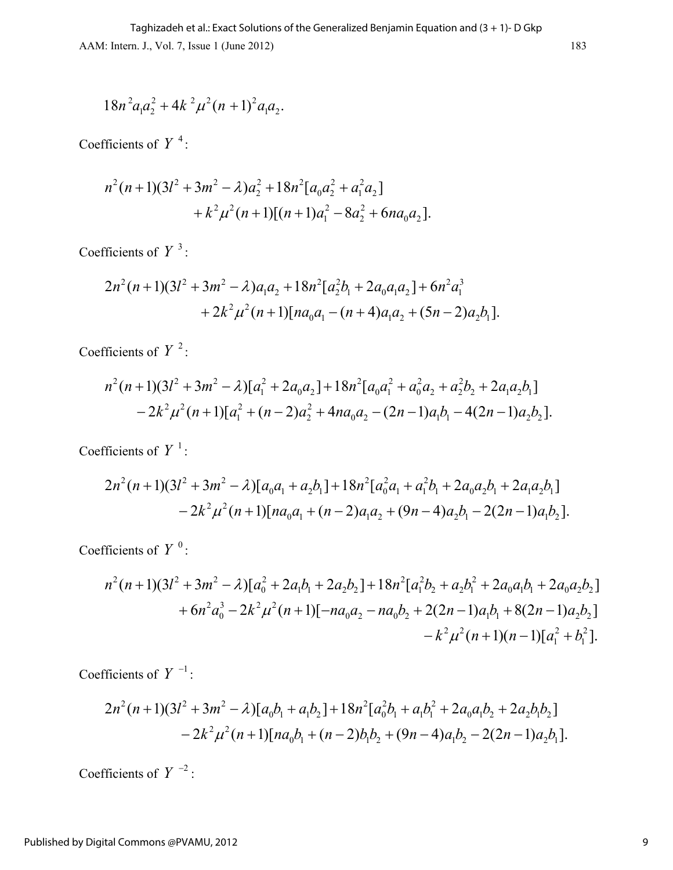$$
18n^2a_1a_2^2 + 4k^2\mu^2(n+1)^2a_1a_2.
$$

Coefficients of  $Y^4$ :

$$
n^{2}(n+1)(3l^{2}+3m^{2}-\lambda)a_{2}^{2}+18n^{2}[a_{0}a_{2}^{2}+a_{1}^{2}a_{2}]
$$
  
+ $k^{2}\mu^{2}(n+1)[(n+1)a_{1}^{2}-8a_{2}^{2}+6na_{0}a_{2}].$ 

Coefficients of  $Y^3$ :

$$
2n^2(n+1)(3l^2+3m^2-\lambda)a_1a_2+18n^2[a_2^2b_1+2a_0a_1a_2]+6n^2a_1^3
$$
  
+2k^2\mu^2(n+1)[na\_0a\_1-(n+4)a\_1a\_2+(5n-2)a\_2b\_1].

Coefficients of  $Y^2$ :

$$
n^2(n+1)(3l^2+3m^2-\lambda)[a_1^2+2a_0a_2]+18n^2[a_0a_1^2+a_0^2a_2+a_2^2b_2+2a_1a_2b_1]
$$
  

$$
-2k^2\mu^2(n+1)[a_1^2+(n-2)a_2^2+4na_0a_2-(2n-1)a_1b_1-4(2n-1)a_2b_2].
$$

Coefficients of  $Y^1$ :

$$
2n^2(n+1)(3l^2+3m^2-\lambda)[a_0a_1+a_2b_1]+18n^2[a_0^2a_1+a_1^2b_1+2a_0a_2b_1+2a_1a_2b_1]-2k^2\mu^2(n+1)[na_0a_1+(n-2)a_1a_2+(9n-4)a_2b_1-2(2n-1)a_1b_2].
$$

Coefficients of  $Y^0$ :

$$
n^{2}(n+1)(3l^{2}+3m^{2}-\lambda)[a_{0}^{2}+2a_{1}b_{1}+2a_{2}b_{2}]+18n^{2}[a_{1}^{2}b_{2}+a_{2}b_{1}^{2}+2a_{0}a_{1}b_{1}+2a_{0}a_{2}b_{2}]
$$
  
+6n^{2}a\_{0}^{3}-2k^{2}\mu^{2}(n+1)[-na\_{0}a\_{2}-na\_{0}b\_{2}+2(2n-1)a\_{1}b\_{1}+8(2n-1)a\_{2}b\_{2}]  
-k^{2}\mu^{2}(n+1)(n-1)[a\_{1}^{2}+b\_{1}^{2}].

Coefficients of  $Y^{-1}$ :

$$
2n^2(n+1)(3l^2+3m^2-\lambda)[a_0b_1+a_1b_2]+18n^2[a_0^2b_1+a_1b_1^2+2a_0a_1b_2+2a_2b_1b_2]-2k^2\mu^2(n+1)[na_0b_1+(n-2)b_1b_2+(9n-4)a_1b_2-2(2n-1)a_2b_1].
$$

Coefficients of  $Y^{-2}$  :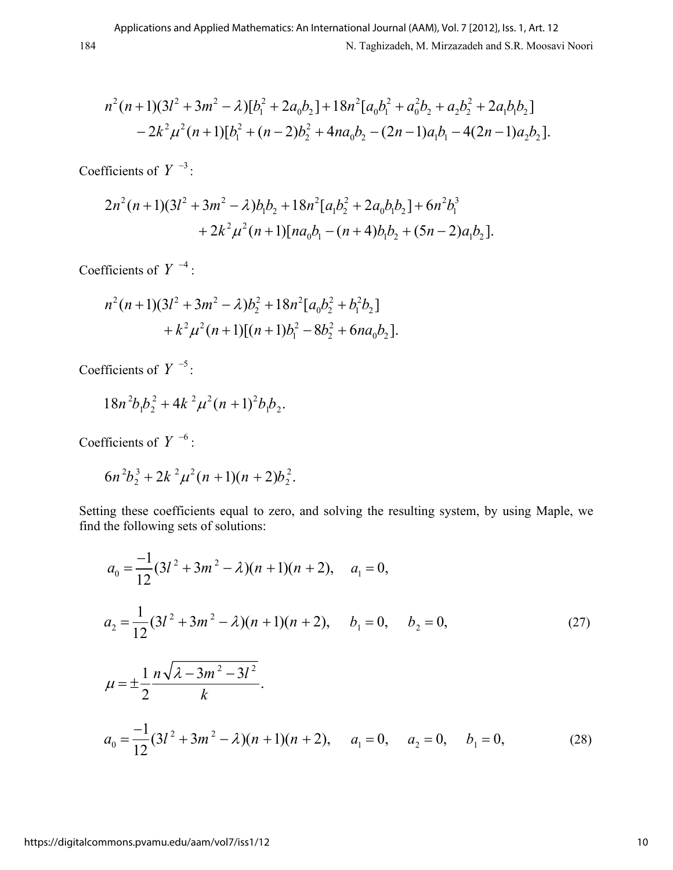$$
n^2(n+1)(3l^2+3m^2-\lambda)[b_1^2+2a_0b_2]+18n^2[a_0b_1^2+a_0^2b_2+a_2b_2^2+2a_1b_1b_2]
$$
  

$$
-2k^2\mu^2(n+1)[b_1^2+(n-2)b_2^2+4na_0b_2-(2n-1)a_1b_1-4(2n-1)a_2b_2].
$$

Coefficients of  $Y^{-3}$ :

$$
2n2(n+1)(3l2+3m2 - \lambda)b1b2 + 18n2[a1b22 + 2a0b1b2] + 6n2b13+ 2k2μ2(n+1)[na0b1 - (n+4)b1b2 + (5n-2)a1b2].
$$

Coefficients of  $Y^{-4}$  :

$$
n^2(n+1)(3l^2+3m^2-\lambda)b_2^2+18n^2[a_0b_2^2+b_1^2b_2] +k^2\mu^2(n+1)[(n+1)b_1^2-8b_2^2+6na_0b_2].
$$

Coefficients of  $Y^{-5}$ :

$$
18n^2b_1b_2^2 + 4k^2\mu^2(n+1)^2b_1b_2.
$$

Coefficients of  $Y^{-6}$  :

$$
6n^2b_2^3+2k^2\mu^2(n+1)(n+2)b_2^2.
$$

Setting these coefficients equal to zero, and solving the resulting system, by using Maple, we find the following sets of solutions:

$$
a_0 = \frac{-1}{12}(3l^2 + 3m^2 - \lambda)(n+1)(n+2), \quad a_1 = 0,
$$
  
\n
$$
a_2 = \frac{1}{12}(3l^2 + 3m^2 - \lambda)(n+1)(n+2), \quad b_1 = 0, \quad b_2 = 0,
$$
  
\n
$$
\mu = \pm \frac{1}{2}\frac{n\sqrt{\lambda - 3m^2 - 3l^2}}{k}.
$$
  
\n
$$
a_0 = \frac{-1}{12}(3l^2 + 3m^2 - \lambda)(n+1)(n+2), \quad a_1 = 0, \quad a_2 = 0, \quad b_1 = 0,
$$
  
\n(28)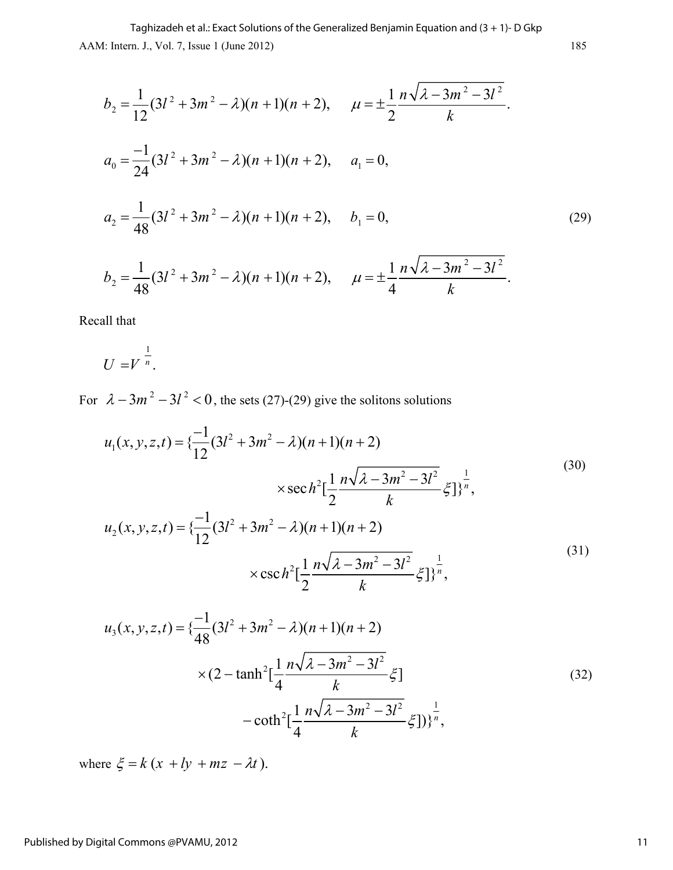AAM: Intern. J., Vol. 7, Issue 1 (June 2012) 185 Taghizadeh et al.: Exact Solutions of the Generalized Benjamin Equation and (3 + 1)- D Gkp

$$
b_2 = \frac{1}{12}(3l^2 + 3m^2 - \lambda)(n+1)(n+2), \quad \mu = \pm \frac{1}{2} \frac{n\sqrt{\lambda - 3m^2 - 3l^2}}{k}.
$$
  
\n
$$
a_0 = \frac{-1}{24}(3l^2 + 3m^2 - \lambda)(n+1)(n+2), \quad a_1 = 0,
$$
  
\n
$$
a_2 = \frac{1}{48}(3l^2 + 3m^2 - \lambda)(n+1)(n+2), \quad b_1 = 0,
$$
  
\n
$$
b_2 = \frac{1}{48}(3l^2 + 3m^2 - \lambda)(n+1)(n+2), \quad \mu = \pm \frac{1}{4} \frac{n\sqrt{\lambda - 3m^2 - 3l^2}}{k}.
$$
  
\n(29)

Recall that

$$
U = V^{\frac{1}{n}}.
$$

For  $\lambda - 3m^2 - 3l^2 < 0$ , the sets (27)-(29) give the solitons solutions

$$
u_1(x, y, z, t) = \left\{ \frac{-1}{12} (3l^2 + 3m^2 - \lambda)(n+1)(n+2) \right\}
$$
  

$$
\times \sec h^2 \left[ \frac{1}{2} \frac{n\sqrt{\lambda - 3m^2 - 3l^2}}{k} \xi \right] \right\}^{\frac{1}{n}},
$$
  

$$
u_2(x, y, z, t) = \left\{ \frac{-1}{12} (3l^2 + 3m^2 - \lambda)(n+1)(n+2) \right\}
$$
  

$$
\times \csc h^2 \left[ \frac{1}{2} \frac{n\sqrt{\lambda - 3m^2 - 3l^2}}{k} \xi \right] \right\}^{\frac{1}{n}},
$$
  
(31)

$$
u_3(x, y, z, t) = \left\{ \frac{-1}{48} (3l^2 + 3m^2 - \lambda)(n+1)(n+2) \right\}
$$
  
 
$$
\times (2 - \tanh^2 \left[ \frac{1}{4} \frac{n\sqrt{\lambda - 3m^2 - 3l^2}}{k} \xi \right]
$$
  
- 
$$
\coth^2 \left[ \frac{1}{4} \frac{n\sqrt{\lambda - 3m^2 - 3l^2}}{k} \xi \right] \Big\}^{\frac{1}{n}},
$$
 (32)

where  $\xi = k(x + ly + mz - \lambda t)$ .

#### Published by Digital Commons @PVAMU, 2012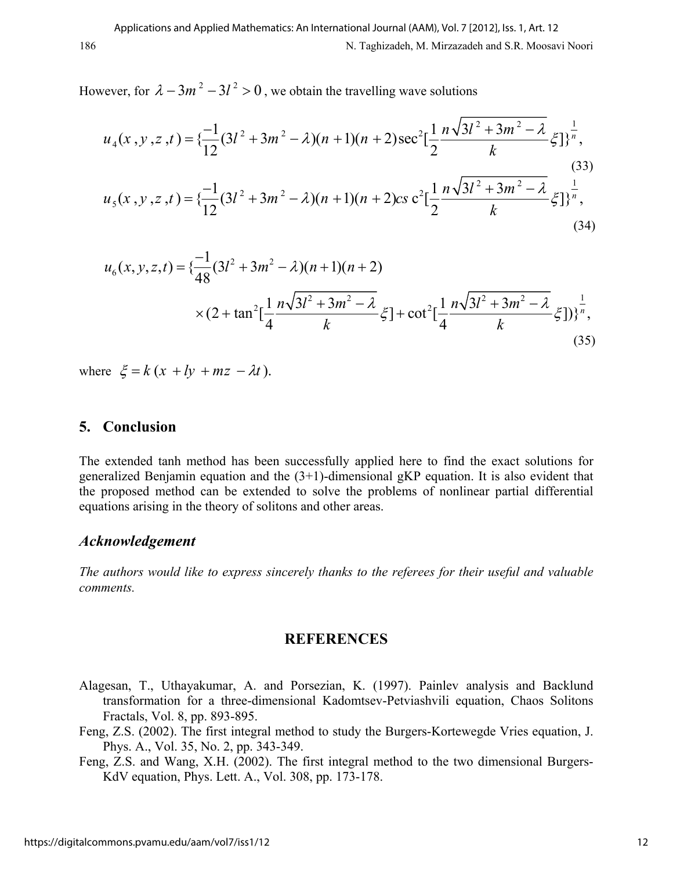However, for  $\lambda - 3m^2 - 3l^2 > 0$ , we obtain the travelling wave solutions

$$
u_4(x, y, z, t) = \left\{ \frac{-1}{12} (3l^2 + 3m^2 - \lambda)(n+1)(n+2) \sec^2 \left[ \frac{1}{2} \frac{n \sqrt{3l^2 + 3m^2 - \lambda}}{k} \xi \right] \right\}^{\frac{1}{n}},\tag{33}
$$
  

$$
u_5(x, y, z, t) = \left\{ \frac{-1}{12} (3l^2 + 3m^2 - \lambda)(n+1)(n+2) \csc^2 \left[ \frac{1}{2} \frac{n \sqrt{3l^2 + 3m^2 - \lambda}}{k} \xi \right] \right\}^{\frac{1}{n}},\tag{34}
$$

$$
u_6(x, y, z, t) = \left\{ \frac{-1}{48} (3l^2 + 3m^2 - \lambda)(n+1)(n+2) \right\}
$$
  
 
$$
\times (2 + \tan^2 \left[ \frac{1}{4} \frac{n\sqrt{3l^2 + 3m^2 - \lambda}}{k} \xi \right] + \cot^2 \left[ \frac{1}{4} \frac{n\sqrt{3l^2 + 3m^2 - \lambda}}{k} \xi \right] \right\}^{\frac{1}{n}} (35)
$$

where  $\xi = k(x + ly + mz - \lambda t)$ .

#### **5. Conclusion**

The extended tanh method has been successfully applied here to find the exact solutions for generalized Benjamin equation and the (3+1)-dimensional gKP equation. It is also evident that the proposed method can be extended to solve the problems of nonlinear partial differential equations arising in the theory of solitons and other areas.

#### *Acknowledgement*

*The authors would like to express sincerely thanks to the referees for their useful and valuable comments.*

#### **REFERENCES**

- Alagesan, T., Uthayakumar, A. and Porsezian, K. (1997). Painlev analysis and Backlund transformation for a three-dimensional Kadomtsev-Petviashvili equation, Chaos Solitons Fractals, Vol. 8, pp. 893-895.
- Feng, Z.S. (2002). The first integral method to study the Burgers-Kortewegde Vries equation, J. Phys. A., Vol. 35, No. 2, pp. 343-349.
- Feng, Z.S. and Wang, X.H. (2002). The first integral method to the two dimensional Burgers-KdV equation, Phys. Lett. A., Vol. 308, pp. 173-178.